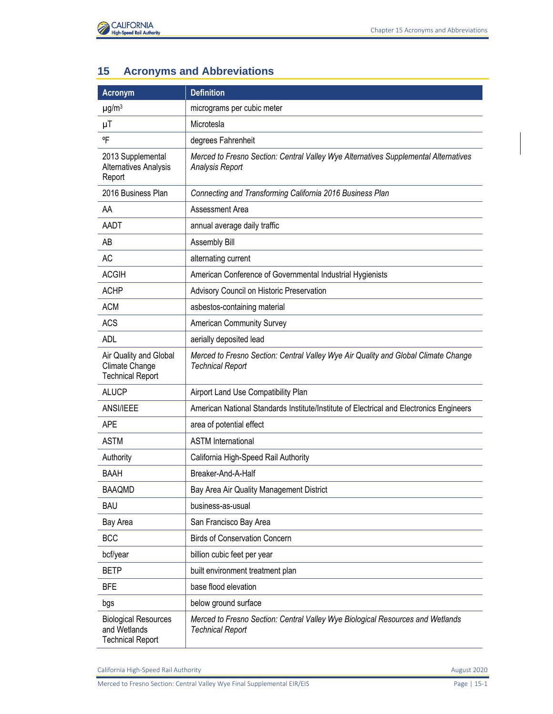

## **15 Acronyms and Abbreviations**

| <b>Acronym</b>                                                         | <b>Definition</b>                                                                                             |
|------------------------------------------------------------------------|---------------------------------------------------------------------------------------------------------------|
| $\mu$ g/m <sup>3</sup>                                                 | micrograms per cubic meter                                                                                    |
| $\mu$ T                                                                | Microtesla                                                                                                    |
| °F                                                                     | degrees Fahrenheit                                                                                            |
| 2013 Supplemental<br>Alternatives Analysis<br>Report                   | Merced to Fresno Section: Central Valley Wye Alternatives Supplemental Alternatives<br><b>Analysis Report</b> |
| 2016 Business Plan                                                     | Connecting and Transforming California 2016 Business Plan                                                     |
| AA                                                                     | Assessment Area                                                                                               |
| AADT                                                                   | annual average daily traffic                                                                                  |
| AB                                                                     | Assembly Bill                                                                                                 |
| <b>AC</b>                                                              | alternating current                                                                                           |
| <b>ACGIH</b>                                                           | American Conference of Governmental Industrial Hygienists                                                     |
| <b>ACHP</b>                                                            | Advisory Council on Historic Preservation                                                                     |
| <b>ACM</b>                                                             | asbestos-containing material                                                                                  |
| <b>ACS</b>                                                             | American Community Survey                                                                                     |
| <b>ADL</b>                                                             | aerially deposited lead                                                                                       |
| Air Quality and Global<br>Climate Change<br><b>Technical Report</b>    | Merced to Fresno Section: Central Valley Wye Air Quality and Global Climate Change<br><b>Technical Report</b> |
| <b>ALUCP</b>                                                           | Airport Land Use Compatibility Plan                                                                           |
| ANSI/IEEE                                                              | American National Standards Institute/Institute of Electrical and Electronics Engineers                       |
| <b>APE</b>                                                             | area of potential effect                                                                                      |
| <b>ASTM</b>                                                            | <b>ASTM International</b>                                                                                     |
| Authority                                                              | California High-Speed Rail Authority                                                                          |
| BAAH                                                                   | Breaker-And-A-Half                                                                                            |
| <b>BAAQMD</b>                                                          | Bay Area Air Quality Management District                                                                      |
| BAU                                                                    | business-as-usual                                                                                             |
| Bay Area                                                               | San Francisco Bay Area                                                                                        |
| <b>BCC</b>                                                             | <b>Birds of Conservation Concern</b>                                                                          |
| bcf/year                                                               | billion cubic feet per year                                                                                   |
| <b>BETP</b>                                                            | built environment treatment plan                                                                              |
| <b>BFE</b>                                                             | base flood elevation                                                                                          |
| bgs                                                                    | below ground surface                                                                                          |
| <b>Biological Resources</b><br>and Wetlands<br><b>Technical Report</b> | Merced to Fresno Section: Central Valley Wye Biological Resources and Wetlands<br><b>Technical Report</b>     |

California High-Speed Rail Authority **August 2020** 

Merced to Fresno Section: Central Valley Wye Final Supplemental EIR/EIS Page 15-1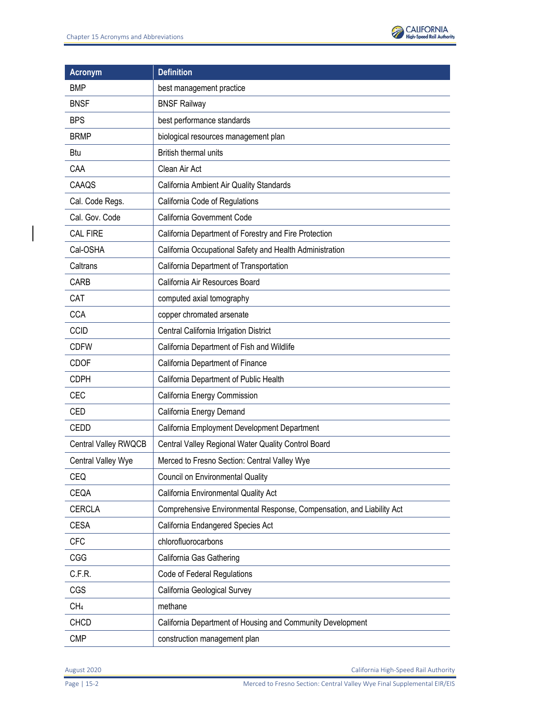

| <b>Acronym</b>       | <b>Definition</b>                                                     |
|----------------------|-----------------------------------------------------------------------|
| <b>BMP</b>           | best management practice                                              |
| <b>BNSF</b>          | <b>BNSF Railway</b>                                                   |
| <b>BPS</b>           | best performance standards                                            |
| <b>BRMP</b>          | biological resources management plan                                  |
| Btu                  | <b>British thermal units</b>                                          |
| CAA                  | Clean Air Act                                                         |
| CAAQS                | California Ambient Air Quality Standards                              |
| Cal. Code Regs.      | California Code of Regulations                                        |
| Cal. Gov. Code       | California Government Code                                            |
| <b>CAL FIRE</b>      | California Department of Forestry and Fire Protection                 |
| Cal-OSHA             | California Occupational Safety and Health Administration              |
| Caltrans             | California Department of Transportation                               |
| CARB                 | California Air Resources Board                                        |
| CAT                  | computed axial tomography                                             |
| <b>CCA</b>           | copper chromated arsenate                                             |
| <b>CCID</b>          | Central California Irrigation District                                |
| <b>CDFW</b>          | California Department of Fish and Wildlife                            |
| <b>CDOF</b>          | California Department of Finance                                      |
| <b>CDPH</b>          | California Department of Public Health                                |
| CEC                  | California Energy Commission                                          |
| CED                  | California Energy Demand                                              |
| CEDD                 | California Employment Development Department                          |
| Central Valley RWQCB | Central Valley Regional Water Quality Control Board                   |
| Central Valley Wye   | Merced to Fresno Section: Central Valley Wye                          |
| <b>CEQ</b>           | <b>Council on Environmental Quality</b>                               |
| CEQA                 | California Environmental Quality Act                                  |
| <b>CERCLA</b>        | Comprehensive Environmental Response, Compensation, and Liability Act |
| <b>CESA</b>          | California Endangered Species Act                                     |
| <b>CFC</b>           | chlorofluorocarbons                                                   |
| CGG                  | California Gas Gathering                                              |
| C.F.R.               | Code of Federal Regulations                                           |
| CGS                  | California Geological Survey                                          |
| CH <sub>4</sub>      | methane                                                               |
| <b>CHCD</b>          | California Department of Housing and Community Development            |
| <b>CMP</b>           | construction management plan                                          |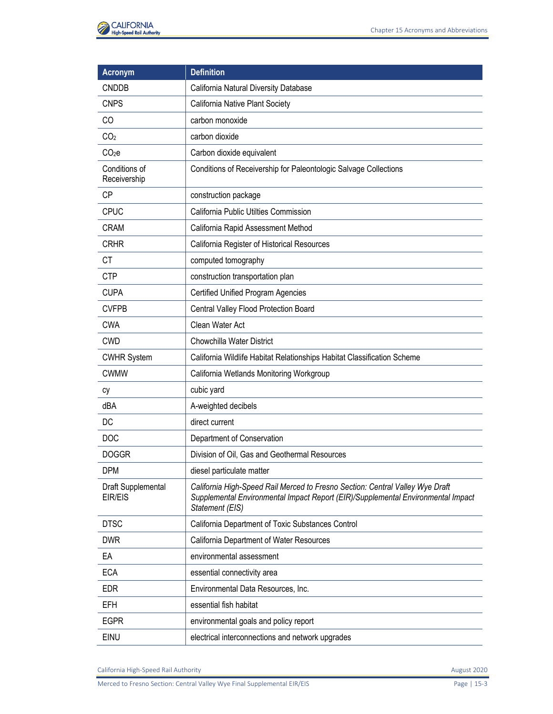

| <b>Acronym</b>                | <b>Definition</b>                                                                                                                                                                    |
|-------------------------------|--------------------------------------------------------------------------------------------------------------------------------------------------------------------------------------|
| <b>CNDDB</b>                  | California Natural Diversity Database                                                                                                                                                |
| <b>CNPS</b>                   | California Native Plant Society                                                                                                                                                      |
| CO                            | carbon monoxide                                                                                                                                                                      |
| CO <sub>2</sub>               | carbon dioxide                                                                                                                                                                       |
| CO <sub>2</sub> e             | Carbon dioxide equivalent                                                                                                                                                            |
| Conditions of<br>Receivership | Conditions of Receivership for Paleontologic Salvage Collections                                                                                                                     |
| <b>CP</b>                     | construction package                                                                                                                                                                 |
| <b>CPUC</b>                   | California Public Utilties Commission                                                                                                                                                |
| <b>CRAM</b>                   | California Rapid Assessment Method                                                                                                                                                   |
| <b>CRHR</b>                   | California Register of Historical Resources                                                                                                                                          |
| <b>CT</b>                     | computed tomography                                                                                                                                                                  |
| <b>CTP</b>                    | construction transportation plan                                                                                                                                                     |
| <b>CUPA</b>                   | <b>Certified Unified Program Agencies</b>                                                                                                                                            |
| <b>CVFPB</b>                  | Central Valley Flood Protection Board                                                                                                                                                |
| <b>CWA</b>                    | Clean Water Act                                                                                                                                                                      |
| <b>CWD</b>                    | Chowchilla Water District                                                                                                                                                            |
| <b>CWHR System</b>            | California Wildlife Habitat Relationships Habitat Classification Scheme                                                                                                              |
| <b>CWMW</b>                   | California Wetlands Monitoring Workgroup                                                                                                                                             |
| cy                            | cubic yard                                                                                                                                                                           |
| dBA                           | A-weighted decibels                                                                                                                                                                  |
| DC                            | direct current                                                                                                                                                                       |
| <b>DOC</b>                    | Department of Conservation                                                                                                                                                           |
| <b>DOGGR</b>                  | Division of Oil, Gas and Geothermal Resources                                                                                                                                        |
| <b>DPM</b>                    | diesel particulate matter                                                                                                                                                            |
| Draft Supplemental<br>EIR/EIS | California High-Speed Rail Merced to Fresno Section: Central Valley Wye Draft<br>Supplemental Environmental Impact Report (EIR)/Supplemental Environmental Impact<br>Statement (EIS) |
| <b>DTSC</b>                   | California Department of Toxic Substances Control                                                                                                                                    |
| <b>DWR</b>                    | California Department of Water Resources                                                                                                                                             |
| EA                            | environmental assessment                                                                                                                                                             |
| <b>ECA</b>                    | essential connectivity area                                                                                                                                                          |
| <b>EDR</b>                    | Environmental Data Resources, Inc.                                                                                                                                                   |
| <b>EFH</b>                    | essential fish habitat                                                                                                                                                               |
| <b>EGPR</b>                   | environmental goals and policy report                                                                                                                                                |
| EINU                          | electrical interconnections and network upgrades                                                                                                                                     |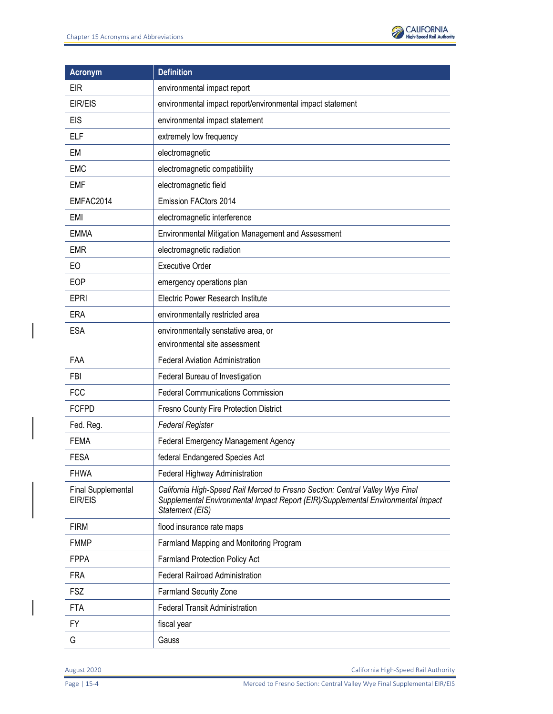

| <b>Acronym</b>                       | <b>Definition</b>                                                                                                                                                                    |
|--------------------------------------|--------------------------------------------------------------------------------------------------------------------------------------------------------------------------------------|
| EIR                                  | environmental impact report                                                                                                                                                          |
| EIR/EIS                              | environmental impact report/environmental impact statement                                                                                                                           |
| <b>EIS</b>                           | environmental impact statement                                                                                                                                                       |
| <b>ELF</b>                           | extremely low frequency                                                                                                                                                              |
| EM                                   | electromagnetic                                                                                                                                                                      |
| <b>EMC</b>                           | electromagnetic compatibility                                                                                                                                                        |
| <b>EMF</b>                           | electromagnetic field                                                                                                                                                                |
| EMFAC2014                            | Emission FACtors 2014                                                                                                                                                                |
| <b>EMI</b>                           | electromagnetic interference                                                                                                                                                         |
| <b>EMMA</b>                          | Environmental Mitigation Management and Assessment                                                                                                                                   |
| <b>EMR</b>                           | electromagnetic radiation                                                                                                                                                            |
| EO                                   | <b>Executive Order</b>                                                                                                                                                               |
| EOP                                  | emergency operations plan                                                                                                                                                            |
| <b>EPRI</b>                          | Electric Power Research Institute                                                                                                                                                    |
| <b>ERA</b>                           | environmentally restricted area                                                                                                                                                      |
| <b>ESA</b>                           | environmentally senstative area, or                                                                                                                                                  |
|                                      | environmental site assessment                                                                                                                                                        |
| FAA                                  | <b>Federal Aviation Administration</b>                                                                                                                                               |
| <b>FBI</b>                           | Federal Bureau of Investigation                                                                                                                                                      |
| <b>FCC</b>                           | <b>Federal Communications Commission</b>                                                                                                                                             |
| <b>FCFPD</b>                         | Fresno County Fire Protection District                                                                                                                                               |
| Fed. Reg.                            | <b>Federal Register</b>                                                                                                                                                              |
| <b>FEMA</b>                          | Federal Emergency Management Agency                                                                                                                                                  |
| <b>FESA</b>                          | federal Endangered Species Act                                                                                                                                                       |
| <b>FHWA</b>                          | Federal Highway Administration                                                                                                                                                       |
| <b>Final Supplemental</b><br>EIR/EIS | California High-Speed Rail Merced to Fresno Section: Central Valley Wye Final<br>Supplemental Environmental Impact Report (EIR)/Supplemental Environmental Impact<br>Statement (EIS) |
| <b>FIRM</b>                          | flood insurance rate maps                                                                                                                                                            |
| <b>FMMP</b>                          | Farmland Mapping and Monitoring Program                                                                                                                                              |
| <b>FPPA</b>                          | Farmland Protection Policy Act                                                                                                                                                       |
| <b>FRA</b>                           | <b>Federal Railroad Administration</b>                                                                                                                                               |
| <b>FSZ</b>                           | <b>Farmland Security Zone</b>                                                                                                                                                        |
| FTA                                  | <b>Federal Transit Administration</b>                                                                                                                                                |
| FY                                   | fiscal year                                                                                                                                                                          |
| G                                    | Gauss                                                                                                                                                                                |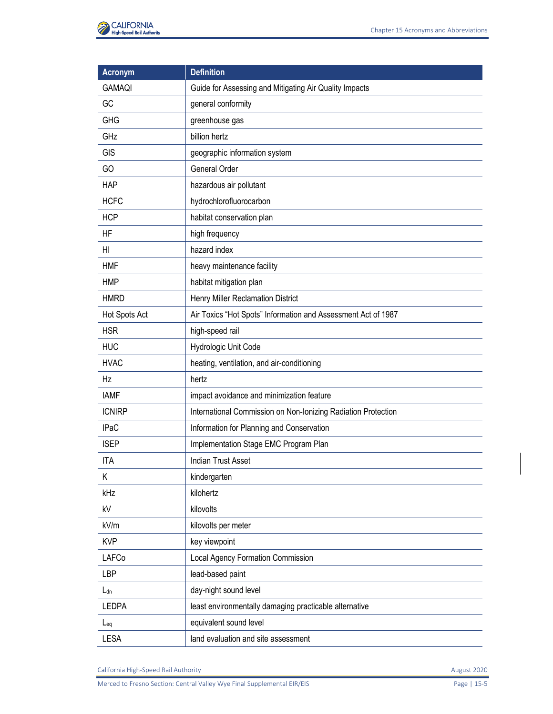

| <b>Acronym</b>  | <b>Definition</b>                                             |
|-----------------|---------------------------------------------------------------|
| <b>GAMAQI</b>   | Guide for Assessing and Mitigating Air Quality Impacts        |
| GC              | general conformity                                            |
| <b>GHG</b>      | greenhouse gas                                                |
| GHz             | billion hertz                                                 |
| <b>GIS</b>      | geographic information system                                 |
| GO              | General Order                                                 |
| <b>HAP</b>      | hazardous air pollutant                                       |
| <b>HCFC</b>     | hydrochlorofluorocarbon                                       |
| <b>HCP</b>      | habitat conservation plan                                     |
| HF              | high frequency                                                |
| HI              | hazard index                                                  |
| <b>HMF</b>      | heavy maintenance facility                                    |
| <b>HMP</b>      | habitat mitigation plan                                       |
| <b>HMRD</b>     | Henry Miller Reclamation District                             |
| Hot Spots Act   | Air Toxics "Hot Spots" Information and Assessment Act of 1987 |
| <b>HSR</b>      | high-speed rail                                               |
| <b>HUC</b>      | Hydrologic Unit Code                                          |
| <b>HVAC</b>     | heating, ventilation, and air-conditioning                    |
| Hz              | hertz                                                         |
| <b>IAMF</b>     | impact avoidance and minimization feature                     |
| <b>ICNIRP</b>   | International Commission on Non-Ionizing Radiation Protection |
| <b>IPaC</b>     | Information for Planning and Conservation                     |
| <b>ISEP</b>     | Implementation Stage EMC Program Plan                         |
| <b>ITA</b>      | <b>Indian Trust Asset</b>                                     |
| Κ               | kindergarten                                                  |
| kHz             | kilohertz                                                     |
| kV              | kilovolts                                                     |
| kV/m            | kilovolts per meter                                           |
| <b>KVP</b>      | key viewpoint                                                 |
| LAFCo           | Local Agency Formation Commission                             |
| <b>LBP</b>      | lead-based paint                                              |
| L <sub>dn</sub> | day-night sound level                                         |
| <b>LEDPA</b>    | least environmentally damaging practicable alternative        |
| $L_{eq}$        | equivalent sound level                                        |
| LESA            | land evaluation and site assessment                           |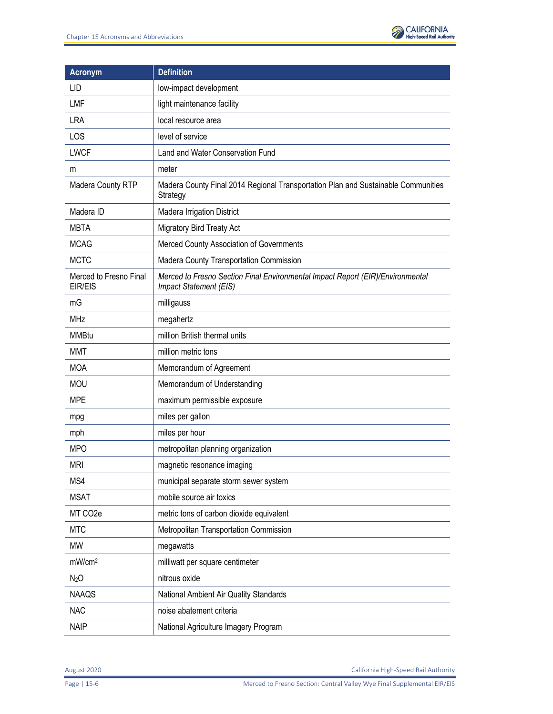

| <b>Acronym</b>                    | <b>Definition</b>                                                                                        |
|-----------------------------------|----------------------------------------------------------------------------------------------------------|
| LID                               | low-impact development                                                                                   |
| <b>LMF</b>                        | light maintenance facility                                                                               |
| <b>LRA</b>                        | local resource area                                                                                      |
| LOS                               | level of service                                                                                         |
| <b>LWCF</b>                       | Land and Water Conservation Fund                                                                         |
| m                                 | meter                                                                                                    |
| Madera County RTP                 | Madera County Final 2014 Regional Transportation Plan and Sustainable Communities<br>Strategy            |
| Madera ID                         | Madera Irrigation District                                                                               |
| <b>MBTA</b>                       | <b>Migratory Bird Treaty Act</b>                                                                         |
| <b>MCAG</b>                       | Merced County Association of Governments                                                                 |
| <b>MCTC</b>                       | Madera County Transportation Commission                                                                  |
| Merced to Fresno Final<br>EIR/EIS | Merced to Fresno Section Final Environmental Impact Report (EIR)/Environmental<br>Impact Statement (EIS) |
| mG                                | milligauss                                                                                               |
| <b>MHz</b>                        | megahertz                                                                                                |
| <b>MMBtu</b>                      | million British thermal units                                                                            |
| <b>MMT</b>                        | million metric tons                                                                                      |
| <b>MOA</b>                        | Memorandum of Agreement                                                                                  |
| <b>MOU</b>                        | Memorandum of Understanding                                                                              |
| <b>MPE</b>                        | maximum permissible exposure                                                                             |
| mpg                               | miles per gallon                                                                                         |
| mph                               | miles per hour                                                                                           |
| <b>MPO</b>                        | metropolitan planning organization                                                                       |
| <b>MRI</b>                        | magnetic resonance imaging                                                                               |
| MS4                               | municipal separate storm sewer system                                                                    |
| <b>MSAT</b>                       | mobile source air toxics                                                                                 |
| MT CO <sub>2</sub> e              | metric tons of carbon dioxide equivalent                                                                 |
| <b>MTC</b>                        | Metropolitan Transportation Commission                                                                   |
| <b>MW</b>                         | megawatts                                                                                                |
| mW/cm <sup>2</sup>                | milliwatt per square centimeter                                                                          |
| N <sub>2</sub> O                  | nitrous oxide                                                                                            |
| <b>NAAQS</b>                      | National Ambient Air Quality Standards                                                                   |
| <b>NAC</b>                        | noise abatement criteria                                                                                 |
| <b>NAIP</b>                       | National Agriculture Imagery Program                                                                     |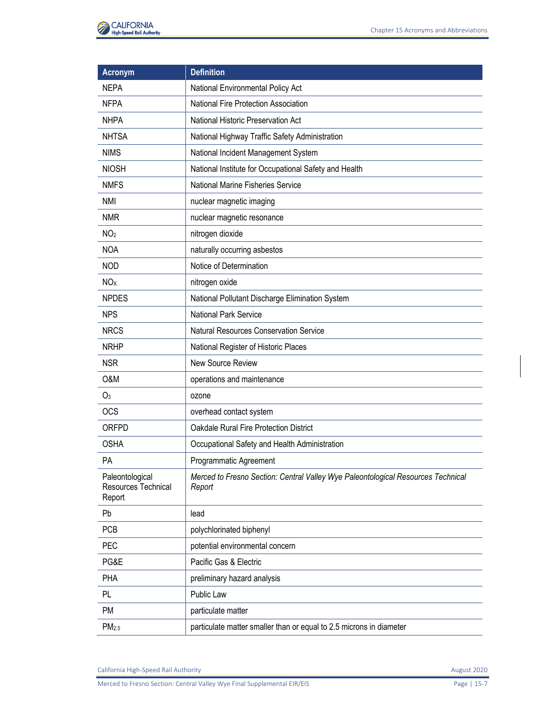

| <b>Acronym</b>                                   | <b>Definition</b>                                                                          |
|--------------------------------------------------|--------------------------------------------------------------------------------------------|
| <b>NEPA</b>                                      | National Environmental Policy Act                                                          |
| <b>NFPA</b>                                      | National Fire Protection Association                                                       |
| <b>NHPA</b>                                      | National Historic Preservation Act                                                         |
| <b>NHTSA</b>                                     | National Highway Traffic Safety Administration                                             |
| <b>NIMS</b>                                      | National Incident Management System                                                        |
| <b>NIOSH</b>                                     | National Institute for Occupational Safety and Health                                      |
| <b>NMFS</b>                                      | National Marine Fisheries Service                                                          |
| <b>NMI</b>                                       | nuclear magnetic imaging                                                                   |
| <b>NMR</b>                                       | nuclear magnetic resonance                                                                 |
| NO <sub>2</sub>                                  | nitrogen dioxide                                                                           |
| <b>NOA</b>                                       | naturally occurring asbestos                                                               |
| <b>NOD</b>                                       | Notice of Determination                                                                    |
| <b>NO</b> <sub>x</sub>                           | nitrogen oxide                                                                             |
| <b>NPDES</b>                                     | National Pollutant Discharge Elimination System                                            |
| <b>NPS</b>                                       | <b>National Park Service</b>                                                               |
| <b>NRCS</b>                                      | Natural Resources Conservation Service                                                     |
| <b>NRHP</b>                                      | National Register of Historic Places                                                       |
| <b>NSR</b>                                       | New Source Review                                                                          |
| O&M                                              | operations and maintenance                                                                 |
| O <sub>3</sub>                                   | ozone                                                                                      |
| <b>OCS</b>                                       | overhead contact system                                                                    |
| ORFPD                                            | Oakdale Rural Fire Protection District                                                     |
| <b>OSHA</b>                                      | Occupational Safety and Health Administration                                              |
| <b>PA</b>                                        | Programmatic Agreement                                                                     |
| Paleontological<br>Resources Technical<br>Report | Merced to Fresno Section: Central Valley Wye Paleontological Resources Technical<br>Report |
| Pb                                               | lead                                                                                       |
| <b>PCB</b>                                       | polychlorinated biphenyl                                                                   |
| PEC                                              | potential environmental concern                                                            |
| PG&E                                             | Pacific Gas & Electric                                                                     |
| PHA                                              | preliminary hazard analysis                                                                |
| PL                                               | Public Law                                                                                 |
| PM                                               | particulate matter                                                                         |
| PM <sub>2.5</sub>                                | particulate matter smaller than or equal to 2.5 microns in diameter                        |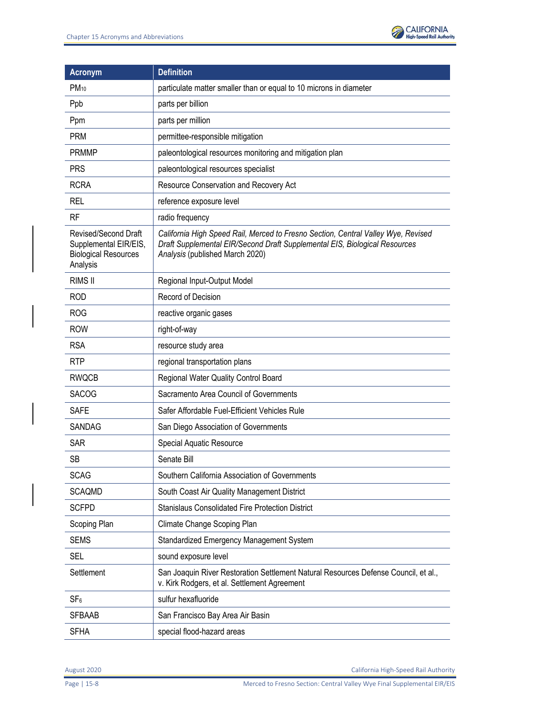

| <b>Acronym</b>                                                                           | <b>Definition</b>                                                                                                                                                                                  |
|------------------------------------------------------------------------------------------|----------------------------------------------------------------------------------------------------------------------------------------------------------------------------------------------------|
| $PM_{10}$                                                                                | particulate matter smaller than or equal to 10 microns in diameter                                                                                                                                 |
| Ppb                                                                                      | parts per billion                                                                                                                                                                                  |
| Ppm                                                                                      | parts per million                                                                                                                                                                                  |
| <b>PRM</b>                                                                               | permittee-responsible mitigation                                                                                                                                                                   |
| <b>PRMMP</b>                                                                             | paleontological resources monitoring and mitigation plan                                                                                                                                           |
| <b>PRS</b>                                                                               | paleontological resources specialist                                                                                                                                                               |
| <b>RCRA</b>                                                                              | Resource Conservation and Recovery Act                                                                                                                                                             |
| <b>REL</b>                                                                               | reference exposure level                                                                                                                                                                           |
| <b>RF</b>                                                                                | radio frequency                                                                                                                                                                                    |
| Revised/Second Draft<br>Supplemental EIR/EIS,<br><b>Biological Resources</b><br>Analysis | California High Speed Rail, Merced to Fresno Section, Central Valley Wye, Revised<br>Draft Supplemental EIR/Second Draft Supplemental EIS, Biological Resources<br>Analysis (published March 2020) |
| <b>RIMS II</b>                                                                           | Regional Input-Output Model                                                                                                                                                                        |
| <b>ROD</b>                                                                               | Record of Decision                                                                                                                                                                                 |
| <b>ROG</b>                                                                               | reactive organic gases                                                                                                                                                                             |
| <b>ROW</b>                                                                               | right-of-way                                                                                                                                                                                       |
| <b>RSA</b>                                                                               | resource study area                                                                                                                                                                                |
| <b>RTP</b>                                                                               | regional transportation plans                                                                                                                                                                      |
| <b>RWQCB</b>                                                                             | Regional Water Quality Control Board                                                                                                                                                               |
| <b>SACOG</b>                                                                             | Sacramento Area Council of Governments                                                                                                                                                             |
| <b>SAFE</b>                                                                              | Safer Affordable Fuel-Efficient Vehicles Rule                                                                                                                                                      |
| <b>SANDAG</b>                                                                            | San Diego Association of Governments                                                                                                                                                               |
| <b>SAR</b>                                                                               | Special Aquatic Resource                                                                                                                                                                           |
| <b>SB</b>                                                                                | Senate Bill                                                                                                                                                                                        |
| <b>SCAG</b>                                                                              | Southern California Association of Governments                                                                                                                                                     |
| <b>SCAQMD</b>                                                                            | South Coast Air Quality Management District                                                                                                                                                        |
| <b>SCFPD</b>                                                                             | Stanislaus Consolidated Fire Protection District                                                                                                                                                   |
| Scoping Plan                                                                             | Climate Change Scoping Plan                                                                                                                                                                        |
| <b>SEMS</b>                                                                              | Standardized Emergency Management System                                                                                                                                                           |
| <b>SEL</b>                                                                               | sound exposure level                                                                                                                                                                               |
| Settlement                                                                               | San Joaquin River Restoration Settlement Natural Resources Defense Council, et al.,<br>v. Kirk Rodgers, et al. Settlement Agreement                                                                |
| SF <sub>6</sub>                                                                          | sulfur hexafluoride                                                                                                                                                                                |
| <b>SFBAAB</b>                                                                            | San Francisco Bay Area Air Basin                                                                                                                                                                   |
| <b>SFHA</b>                                                                              | special flood-hazard areas                                                                                                                                                                         |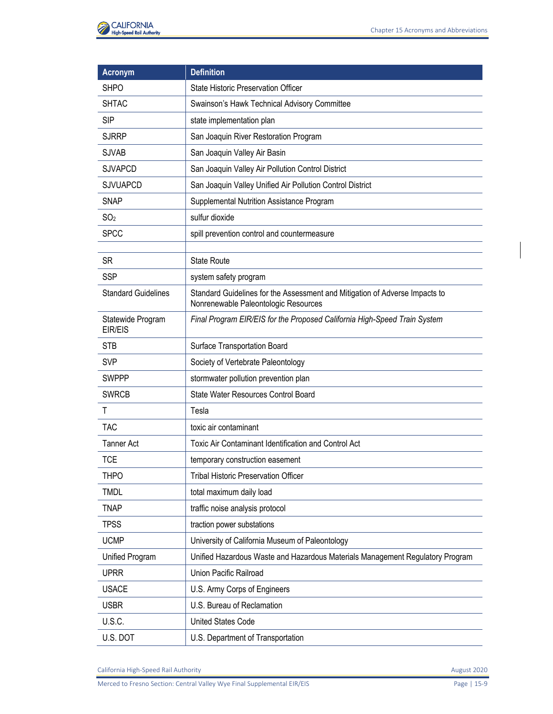| <b>Acronym</b>               | <b>Definition</b>                                                                                                   |
|------------------------------|---------------------------------------------------------------------------------------------------------------------|
| <b>SHPO</b>                  | State Historic Preservation Officer                                                                                 |
| <b>SHTAC</b>                 | Swainson's Hawk Technical Advisory Committee                                                                        |
| <b>SIP</b>                   | state implementation plan                                                                                           |
| <b>SJRRP</b>                 | San Joaquin River Restoration Program                                                                               |
| <b>SJVAB</b>                 | San Joaquin Valley Air Basin                                                                                        |
| <b>SJVAPCD</b>               | San Joaquin Valley Air Pollution Control District                                                                   |
| <b>SJVUAPCD</b>              | San Joaquin Valley Unified Air Pollution Control District                                                           |
| <b>SNAP</b>                  | Supplemental Nutrition Assistance Program                                                                           |
| SO <sub>2</sub>              | sulfur dioxide                                                                                                      |
| <b>SPCC</b>                  | spill prevention control and countermeasure                                                                         |
|                              |                                                                                                                     |
| <b>SR</b>                    | <b>State Route</b>                                                                                                  |
| <b>SSP</b>                   | system safety program                                                                                               |
| <b>Standard Guidelines</b>   | Standard Guidelines for the Assessment and Mitigation of Adverse Impacts to<br>Nonrenewable Paleontologic Resources |
| Statewide Program<br>EIR/EIS | Final Program EIR/EIS for the Proposed California High-Speed Train System                                           |
| <b>STB</b>                   | Surface Transportation Board                                                                                        |
| <b>SVP</b>                   | Society of Vertebrate Paleontology                                                                                  |
| <b>SWPPP</b>                 | stormwater pollution prevention plan                                                                                |
| <b>SWRCB</b>                 | State Water Resources Control Board                                                                                 |
| T                            | Tesla                                                                                                               |
| <b>TAC</b>                   | toxic air contaminant                                                                                               |
| <b>Tanner Act</b>            | Toxic Air Contaminant Identification and Control Act                                                                |
| <b>TCE</b>                   | temporary construction easement                                                                                     |
| <b>THPO</b>                  | <b>Tribal Historic Preservation Officer</b>                                                                         |
| <b>TMDL</b>                  | total maximum daily load                                                                                            |
| <b>TNAP</b>                  | traffic noise analysis protocol                                                                                     |
| <b>TPSS</b>                  | traction power substations                                                                                          |
| <b>UCMP</b>                  | University of California Museum of Paleontology                                                                     |
| Unified Program              | Unified Hazardous Waste and Hazardous Materials Management Regulatory Program                                       |
| <b>UPRR</b>                  | Union Pacific Railroad                                                                                              |
| <b>USACE</b>                 | U.S. Army Corps of Engineers                                                                                        |
| <b>USBR</b>                  | U.S. Bureau of Reclamation                                                                                          |
| U.S.C.                       | <b>United States Code</b>                                                                                           |
| U.S. DOT                     | U.S. Department of Transportation                                                                                   |